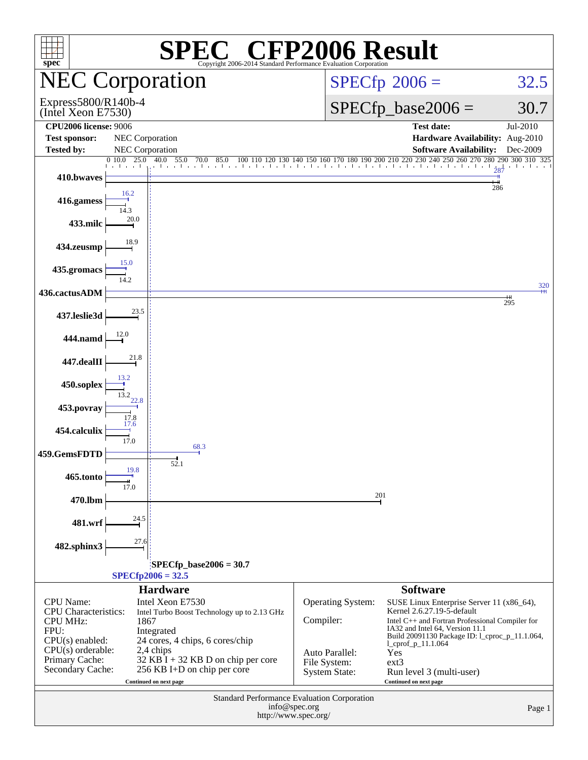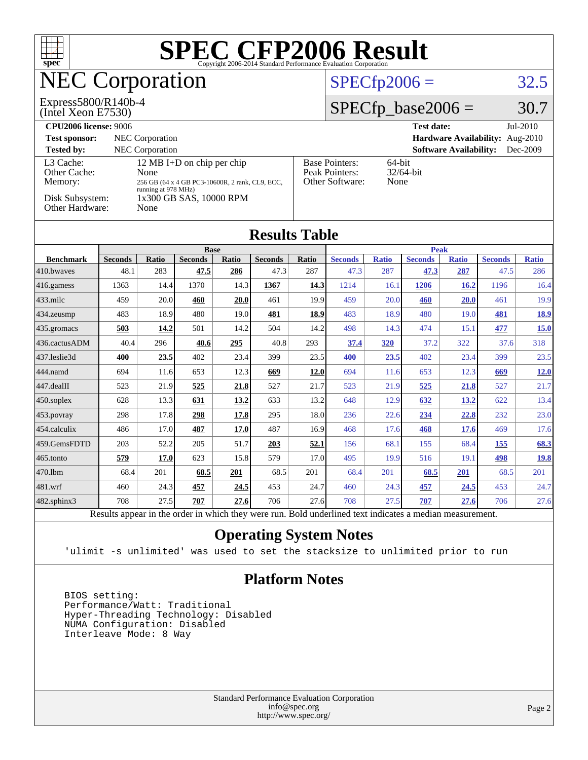

[482.sphinx3](http://www.spec.org/auto/cpu2006/Docs/482.sphinx3.html) 708 27.5 **[707](http://www.spec.org/auto/cpu2006/Docs/result-fields.html#Median) [27.6](http://www.spec.org/auto/cpu2006/Docs/result-fields.html#Median)** 706 27.6 708 27.5 **[707](http://www.spec.org/auto/cpu2006/Docs/result-fields.html#Median) [27.6](http://www.spec.org/auto/cpu2006/Docs/result-fields.html#Median)** 706 27.6 Results appear in the [order in which they were run.](http://www.spec.org/auto/cpu2006/Docs/result-fields.html#RunOrder) Bold underlined text [indicates a median measurement.](http://www.spec.org/auto/cpu2006/Docs/result-fields.html#Median)

#### **[Operating System Notes](http://www.spec.org/auto/cpu2006/Docs/result-fields.html#OperatingSystemNotes)**

'ulimit -s unlimited' was used to set the stacksize to unlimited prior to run

#### **[Platform Notes](http://www.spec.org/auto/cpu2006/Docs/result-fields.html#PlatformNotes)**

 BIOS setting: Performance/Watt: Traditional Hyper-Threading Technology: Disabled NUMA Configuration: Disabled Interleave Mode: 8 Way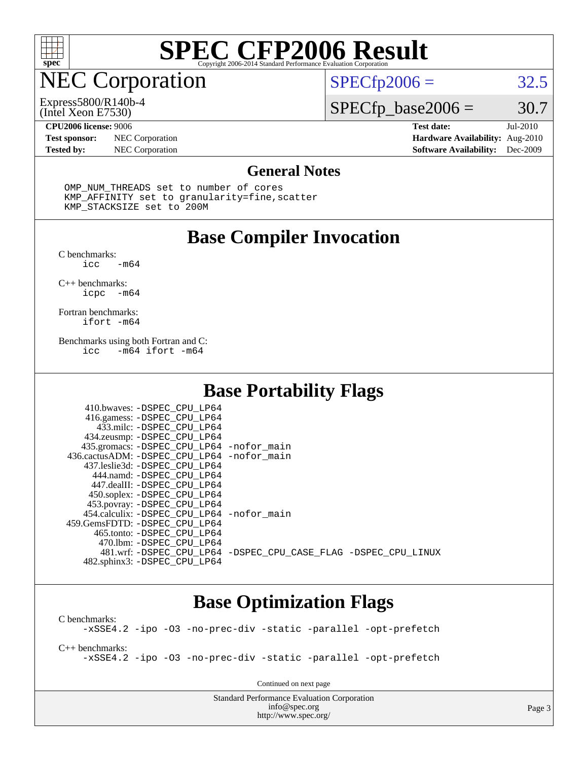

## NEC Corporation

#### (Intel Xeon E7530) Express5800/R140b-4

 $SPECTp2006 = 32.5$ 

### $SPECfp\_base2006 = 30.7$

**[Test sponsor:](http://www.spec.org/auto/cpu2006/Docs/result-fields.html#Testsponsor)** NEC Corporation **[Hardware Availability:](http://www.spec.org/auto/cpu2006/Docs/result-fields.html#HardwareAvailability)** Aug-2010

**[CPU2006 license:](http://www.spec.org/auto/cpu2006/Docs/result-fields.html#CPU2006license)** 9006 **[Test date:](http://www.spec.org/auto/cpu2006/Docs/result-fields.html#Testdate)** Jul-2010 **[Tested by:](http://www.spec.org/auto/cpu2006/Docs/result-fields.html#Testedby)** NEC Corporation **[Software Availability:](http://www.spec.org/auto/cpu2006/Docs/result-fields.html#SoftwareAvailability)** Dec-2009

#### **[General Notes](http://www.spec.org/auto/cpu2006/Docs/result-fields.html#GeneralNotes)**

 OMP\_NUM\_THREADS set to number of cores KMP\_AFFINITY set to granularity=fine,scatter KMP\_STACKSIZE set to 200M

#### **[Base Compiler Invocation](http://www.spec.org/auto/cpu2006/Docs/result-fields.html#BaseCompilerInvocation)**

[C benchmarks](http://www.spec.org/auto/cpu2006/Docs/result-fields.html#Cbenchmarks): -m64

[C++ benchmarks:](http://www.spec.org/auto/cpu2006/Docs/result-fields.html#CXXbenchmarks) [icpc -m64](http://www.spec.org/cpu2006/results/res2010q3/cpu2006-20100727-12634.flags.html#user_CXXbase_intel_icpc_64bit_bedb90c1146cab66620883ef4f41a67e)

[Fortran benchmarks](http://www.spec.org/auto/cpu2006/Docs/result-fields.html#Fortranbenchmarks): [ifort -m64](http://www.spec.org/cpu2006/results/res2010q3/cpu2006-20100727-12634.flags.html#user_FCbase_intel_ifort_64bit_ee9d0fb25645d0210d97eb0527dcc06e)

[Benchmarks using both Fortran and C](http://www.spec.org/auto/cpu2006/Docs/result-fields.html#BenchmarksusingbothFortranandC): [icc -m64](http://www.spec.org/cpu2006/results/res2010q3/cpu2006-20100727-12634.flags.html#user_CC_FCbase_intel_icc_64bit_0b7121f5ab7cfabee23d88897260401c) [ifort -m64](http://www.spec.org/cpu2006/results/res2010q3/cpu2006-20100727-12634.flags.html#user_CC_FCbase_intel_ifort_64bit_ee9d0fb25645d0210d97eb0527dcc06e)

#### **[Base Portability Flags](http://www.spec.org/auto/cpu2006/Docs/result-fields.html#BasePortabilityFlags)**

| 410.bwaves: -DSPEC CPU LP64<br>416.gamess: -DSPEC_CPU_LP64<br>433.milc: -DSPEC CPU LP64<br>434.zeusmp: -DSPEC_CPU_LP64<br>435.gromacs: -DSPEC_CPU_LP64 -nofor_main<br>436.cactusADM: -DSPEC CPU LP64 -nofor main<br>437.leslie3d: -DSPEC CPU LP64<br>444.namd: -DSPEC CPU LP64<br>447.dealII: -DSPEC CPU LP64 |                                                                |
|---------------------------------------------------------------------------------------------------------------------------------------------------------------------------------------------------------------------------------------------------------------------------------------------------------------|----------------------------------------------------------------|
| 450.soplex: -DSPEC_CPU_LP64<br>453.povray: -DSPEC_CPU_LP64<br>454.calculix: - DSPEC CPU LP64 - nofor main<br>459.GemsFDTD: -DSPEC CPU LP64<br>465.tonto: - DSPEC CPU LP64                                                                                                                                     |                                                                |
| 470.1bm: -DSPEC CPU LP64<br>482.sphinx3: -DSPEC CPU LP64                                                                                                                                                                                                                                                      | 481.wrf: -DSPEC CPU_LP64 -DSPEC_CPU_CASE_FLAG -DSPEC_CPU_LINUX |

#### **[Base Optimization Flags](http://www.spec.org/auto/cpu2006/Docs/result-fields.html#BaseOptimizationFlags)**

[C benchmarks](http://www.spec.org/auto/cpu2006/Docs/result-fields.html#Cbenchmarks): [-xSSE4.2](http://www.spec.org/cpu2006/results/res2010q3/cpu2006-20100727-12634.flags.html#user_CCbase_f-xSSE42_f91528193cf0b216347adb8b939d4107) [-ipo](http://www.spec.org/cpu2006/results/res2010q3/cpu2006-20100727-12634.flags.html#user_CCbase_f-ipo) [-O3](http://www.spec.org/cpu2006/results/res2010q3/cpu2006-20100727-12634.flags.html#user_CCbase_f-O3) [-no-prec-div](http://www.spec.org/cpu2006/results/res2010q3/cpu2006-20100727-12634.flags.html#user_CCbase_f-no-prec-div) [-static](http://www.spec.org/cpu2006/results/res2010q3/cpu2006-20100727-12634.flags.html#user_CCbase_f-static) [-parallel](http://www.spec.org/cpu2006/results/res2010q3/cpu2006-20100727-12634.flags.html#user_CCbase_f-parallel) [-opt-prefetch](http://www.spec.org/cpu2006/results/res2010q3/cpu2006-20100727-12634.flags.html#user_CCbase_f-opt-prefetch)

[C++ benchmarks:](http://www.spec.org/auto/cpu2006/Docs/result-fields.html#CXXbenchmarks) [-xSSE4.2](http://www.spec.org/cpu2006/results/res2010q3/cpu2006-20100727-12634.flags.html#user_CXXbase_f-xSSE42_f91528193cf0b216347adb8b939d4107) [-ipo](http://www.spec.org/cpu2006/results/res2010q3/cpu2006-20100727-12634.flags.html#user_CXXbase_f-ipo) [-O3](http://www.spec.org/cpu2006/results/res2010q3/cpu2006-20100727-12634.flags.html#user_CXXbase_f-O3) [-no-prec-div](http://www.spec.org/cpu2006/results/res2010q3/cpu2006-20100727-12634.flags.html#user_CXXbase_f-no-prec-div) [-static](http://www.spec.org/cpu2006/results/res2010q3/cpu2006-20100727-12634.flags.html#user_CXXbase_f-static) [-parallel](http://www.spec.org/cpu2006/results/res2010q3/cpu2006-20100727-12634.flags.html#user_CXXbase_f-parallel) [-opt-prefetch](http://www.spec.org/cpu2006/results/res2010q3/cpu2006-20100727-12634.flags.html#user_CXXbase_f-opt-prefetch)

Continued on next page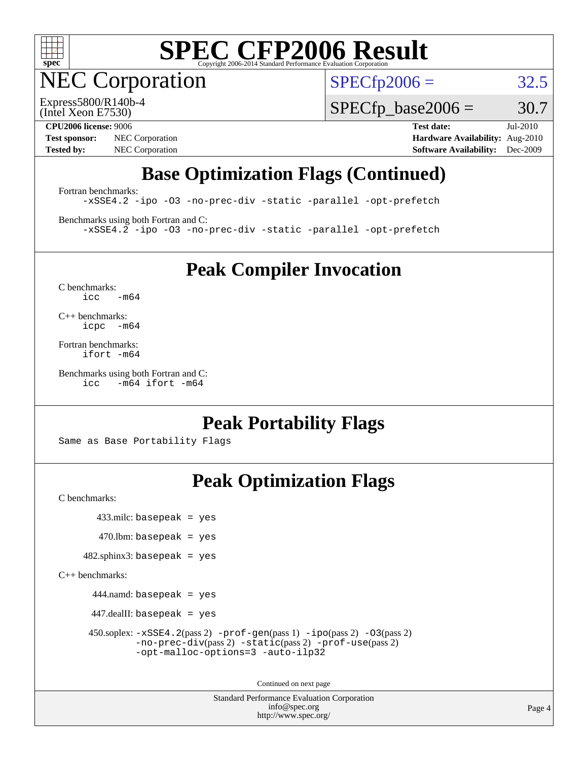

NEC Corporation

 $SPECfp2006 = 32.5$  $SPECfp2006 = 32.5$ 

(Intel Xeon E7530) Express5800/R140b-4  $SPECTp\_base2006 = 30.7$ 

**[Test sponsor:](http://www.spec.org/auto/cpu2006/Docs/result-fields.html#Testsponsor)** NEC Corporation **[Hardware Availability:](http://www.spec.org/auto/cpu2006/Docs/result-fields.html#HardwareAvailability)** Aug-2010 **[Tested by:](http://www.spec.org/auto/cpu2006/Docs/result-fields.html#Testedby)** NEC Corporation **[Software Availability:](http://www.spec.org/auto/cpu2006/Docs/result-fields.html#SoftwareAvailability)** Dec-2009

**[CPU2006 license:](http://www.spec.org/auto/cpu2006/Docs/result-fields.html#CPU2006license)** 9006 **[Test date:](http://www.spec.org/auto/cpu2006/Docs/result-fields.html#Testdate)** Jul-2010

### **[Base Optimization Flags \(Continued\)](http://www.spec.org/auto/cpu2006/Docs/result-fields.html#BaseOptimizationFlags)**

[Fortran benchmarks](http://www.spec.org/auto/cpu2006/Docs/result-fields.html#Fortranbenchmarks): [-xSSE4.2](http://www.spec.org/cpu2006/results/res2010q3/cpu2006-20100727-12634.flags.html#user_FCbase_f-xSSE42_f91528193cf0b216347adb8b939d4107) [-ipo](http://www.spec.org/cpu2006/results/res2010q3/cpu2006-20100727-12634.flags.html#user_FCbase_f-ipo) [-O3](http://www.spec.org/cpu2006/results/res2010q3/cpu2006-20100727-12634.flags.html#user_FCbase_f-O3) [-no-prec-div](http://www.spec.org/cpu2006/results/res2010q3/cpu2006-20100727-12634.flags.html#user_FCbase_f-no-prec-div) [-static](http://www.spec.org/cpu2006/results/res2010q3/cpu2006-20100727-12634.flags.html#user_FCbase_f-static) [-parallel](http://www.spec.org/cpu2006/results/res2010q3/cpu2006-20100727-12634.flags.html#user_FCbase_f-parallel) [-opt-prefetch](http://www.spec.org/cpu2006/results/res2010q3/cpu2006-20100727-12634.flags.html#user_FCbase_f-opt-prefetch)

[Benchmarks using both Fortran and C](http://www.spec.org/auto/cpu2006/Docs/result-fields.html#BenchmarksusingbothFortranandC): [-xSSE4.2](http://www.spec.org/cpu2006/results/res2010q3/cpu2006-20100727-12634.flags.html#user_CC_FCbase_f-xSSE42_f91528193cf0b216347adb8b939d4107) [-ipo](http://www.spec.org/cpu2006/results/res2010q3/cpu2006-20100727-12634.flags.html#user_CC_FCbase_f-ipo) [-O3](http://www.spec.org/cpu2006/results/res2010q3/cpu2006-20100727-12634.flags.html#user_CC_FCbase_f-O3) [-no-prec-div](http://www.spec.org/cpu2006/results/res2010q3/cpu2006-20100727-12634.flags.html#user_CC_FCbase_f-no-prec-div) [-static](http://www.spec.org/cpu2006/results/res2010q3/cpu2006-20100727-12634.flags.html#user_CC_FCbase_f-static) [-parallel](http://www.spec.org/cpu2006/results/res2010q3/cpu2006-20100727-12634.flags.html#user_CC_FCbase_f-parallel) [-opt-prefetch](http://www.spec.org/cpu2006/results/res2010q3/cpu2006-20100727-12634.flags.html#user_CC_FCbase_f-opt-prefetch)

**[Peak Compiler Invocation](http://www.spec.org/auto/cpu2006/Docs/result-fields.html#PeakCompilerInvocation)**

[C benchmarks](http://www.spec.org/auto/cpu2006/Docs/result-fields.html#Cbenchmarks):  $icc$   $-m64$ 

[C++ benchmarks:](http://www.spec.org/auto/cpu2006/Docs/result-fields.html#CXXbenchmarks) [icpc -m64](http://www.spec.org/cpu2006/results/res2010q3/cpu2006-20100727-12634.flags.html#user_CXXpeak_intel_icpc_64bit_bedb90c1146cab66620883ef4f41a67e)

[Fortran benchmarks](http://www.spec.org/auto/cpu2006/Docs/result-fields.html#Fortranbenchmarks): [ifort -m64](http://www.spec.org/cpu2006/results/res2010q3/cpu2006-20100727-12634.flags.html#user_FCpeak_intel_ifort_64bit_ee9d0fb25645d0210d97eb0527dcc06e)

[Benchmarks using both Fortran and C](http://www.spec.org/auto/cpu2006/Docs/result-fields.html#BenchmarksusingbothFortranandC): [icc -m64](http://www.spec.org/cpu2006/results/res2010q3/cpu2006-20100727-12634.flags.html#user_CC_FCpeak_intel_icc_64bit_0b7121f5ab7cfabee23d88897260401c) [ifort -m64](http://www.spec.org/cpu2006/results/res2010q3/cpu2006-20100727-12634.flags.html#user_CC_FCpeak_intel_ifort_64bit_ee9d0fb25645d0210d97eb0527dcc06e)

#### **[Peak Portability Flags](http://www.spec.org/auto/cpu2006/Docs/result-fields.html#PeakPortabilityFlags)**

Same as Base Portability Flags

### **[Peak Optimization Flags](http://www.spec.org/auto/cpu2006/Docs/result-fields.html#PeakOptimizationFlags)**

[C benchmarks](http://www.spec.org/auto/cpu2006/Docs/result-fields.html#Cbenchmarks):

433.milc: basepeak = yes

 $470$ .lbm: basepeak = yes

482.sphinx3: basepeak = yes

[C++ benchmarks:](http://www.spec.org/auto/cpu2006/Docs/result-fields.html#CXXbenchmarks)

444.namd: basepeak = yes

447.dealII: basepeak = yes

 450.soplex: [-xSSE4.2](http://www.spec.org/cpu2006/results/res2010q3/cpu2006-20100727-12634.flags.html#user_peakPASS2_CXXFLAGSPASS2_LDFLAGS450_soplex_f-xSSE42_f91528193cf0b216347adb8b939d4107)(pass 2) [-prof-gen](http://www.spec.org/cpu2006/results/res2010q3/cpu2006-20100727-12634.flags.html#user_peakPASS1_CXXFLAGSPASS1_LDFLAGS450_soplex_prof_gen_e43856698f6ca7b7e442dfd80e94a8fc)(pass 1) [-ipo](http://www.spec.org/cpu2006/results/res2010q3/cpu2006-20100727-12634.flags.html#user_peakPASS2_CXXFLAGSPASS2_LDFLAGS450_soplex_f-ipo)(pass 2) [-O3](http://www.spec.org/cpu2006/results/res2010q3/cpu2006-20100727-12634.flags.html#user_peakPASS2_CXXFLAGSPASS2_LDFLAGS450_soplex_f-O3)(pass 2) [-no-prec-div](http://www.spec.org/cpu2006/results/res2010q3/cpu2006-20100727-12634.flags.html#user_peakPASS2_CXXFLAGSPASS2_LDFLAGS450_soplex_f-no-prec-div)(pass 2) [-static](http://www.spec.org/cpu2006/results/res2010q3/cpu2006-20100727-12634.flags.html#user_peakPASS2_CXXFLAGSPASS2_LDFLAGS450_soplex_f-static)(pass 2) [-prof-use](http://www.spec.org/cpu2006/results/res2010q3/cpu2006-20100727-12634.flags.html#user_peakPASS2_CXXFLAGSPASS2_LDFLAGS450_soplex_prof_use_bccf7792157ff70d64e32fe3e1250b55)(pass 2) [-opt-malloc-options=3](http://www.spec.org/cpu2006/results/res2010q3/cpu2006-20100727-12634.flags.html#user_peakOPTIMIZE450_soplex_f-opt-malloc-options_13ab9b803cf986b4ee62f0a5998c2238) [-auto-ilp32](http://www.spec.org/cpu2006/results/res2010q3/cpu2006-20100727-12634.flags.html#user_peakCXXOPTIMIZE450_soplex_f-auto-ilp32)

Continued on next page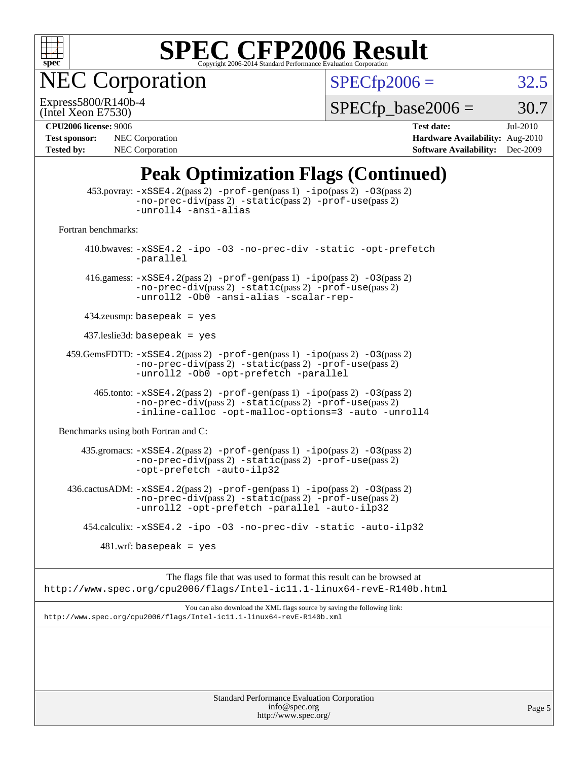

NEC Corporation

 $SPECfp2006 = 32.5$  $SPECfp2006 = 32.5$ 

(Intel Xeon E7530) Express5800/R140b-4

 $SPECTp\_base2006 = 30.7$ 

| <b>Test sponsor:</b> | NEC Corporation        |
|----------------------|------------------------|
| <b>Tested by:</b>    | <b>NEC</b> Corporation |

**[CPU2006 license:](http://www.spec.org/auto/cpu2006/Docs/result-fields.html#CPU2006license)** 9006 **[Test date:](http://www.spec.org/auto/cpu2006/Docs/result-fields.html#Testdate)** Jul-2010 **[Hardware Availability:](http://www.spec.org/auto/cpu2006/Docs/result-fields.html#HardwareAvailability)** Aug-2010 **[Software Availability:](http://www.spec.org/auto/cpu2006/Docs/result-fields.html#SoftwareAvailability)** Dec-2009

### **[Peak Optimization Flags \(Continued\)](http://www.spec.org/auto/cpu2006/Docs/result-fields.html#PeakOptimizationFlags)**

|                                      | <b>Standard Performance Evaluation Corporation</b><br>info@spec.org                                                                                                                              | Page 5 |
|--------------------------------------|--------------------------------------------------------------------------------------------------------------------------------------------------------------------------------------------------|--------|
|                                      |                                                                                                                                                                                                  |        |
|                                      |                                                                                                                                                                                                  |        |
|                                      | You can also download the XML flags source by saving the following link:<br>http://www.spec.org/cpu2006/flags/Intel-ic11.1-linux64-revE-R140b.xml                                                |        |
|                                      | The flags file that was used to format this result can be browsed at<br>http://www.spec.org/cpu2006/flags/Intel-ic11.1-linux64-revE-R140b.html                                                   |        |
|                                      | $481.wrf$ : basepeak = yes                                                                                                                                                                       |        |
|                                      | 454.calculix: -xSSE4.2 -ipo -03 -no-prec-div -static -auto-ilp32                                                                                                                                 |        |
|                                      | $436.cactusADM: -xSSE4.2(pass 2) -prof-gen(pass 1) -ipo(pass 2) -03(pass 2)$<br>-no-prec-div(pass 2) -static(pass 2) -prof-use(pass 2)<br>-unroll2 -opt-prefetch -parallel -auto-ilp32           |        |
|                                      | 435.gromacs: $-xSSE4$ . 2(pass 2) -prof-gen(pass 1) -ipo(pass 2) -03(pass 2)<br>-no-prec-div(pass 2) -static(pass 2) -prof-use(pass 2)<br>-opt-prefetch -auto-ilp32                              |        |
| Benchmarks using both Fortran and C: |                                                                                                                                                                                                  |        |
|                                      | $465$ .tonto: $-xSSE4$ . 2(pass 2) $-prof-gen(pass 1) -ipo(pass 2) -03(pass 2)$<br>-no-prec-div(pass 2) -static(pass 2) -prof-use(pass 2)<br>-inline-calloc -opt-malloc-options=3 -auto -unroll4 |        |
|                                      | 459.GemsFDTD: -xSSE4.2(pass 2) -prof-gen(pass 1) -ipo(pass 2) -03(pass 2)<br>-no-prec-div(pass 2) -static(pass 2) -prof-use(pass 2)<br>-unroll2 -Ob0 -opt-prefetch -parallel                     |        |
|                                      | $437$ .leslie3d: basepeak = yes                                                                                                                                                                  |        |
|                                      | $434$ .zeusmp: basepeak = yes                                                                                                                                                                    |        |
|                                      | 416.gamess: $-xSSE4$ . 2(pass 2) $-prof-gen(pass 1) -ipo(pass 2) -03(pass 2)$<br>-no-prec-div(pass 2) -static(pass 2) -prof-use(pass 2)<br>-unroll2 -Ob0 -ansi-alias -scalar-rep-                |        |
|                                      | 410.bwaves: -xSSE4.2 -ipo -03 -no-prec-div -static -opt-prefetch<br>-parallel                                                                                                                    |        |
| Fortran benchmarks:                  |                                                                                                                                                                                                  |        |
|                                      | $453.$ povray: $-xSSE4.2(pass2)$ -prof-gen $(pass1)$ -ipo $(pass2)$ -03 $(pass2)$<br>-no-prec-div(pass 2) -static(pass 2) -prof-use(pass 2)<br>-unroll4 -ansi-alias                              |        |

<http://www.spec.org/>